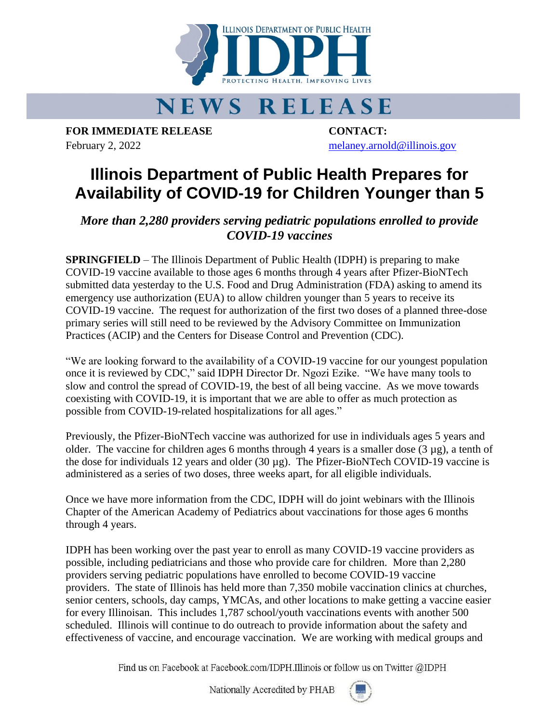

## **NEWS RELEASE**

**FOR IMMEDIATE RELEASE CONTACT:** February 2, 2022 [melaney.arnold@illinois.gov](mailto:melaney.arnold@illinois.gov)

## **Illinois Department of Public Health Prepares for Availability of COVID-19 for Children Younger than 5**

*More than 2,280 providers serving pediatric populations enrolled to provide COVID-19 vaccines*

**SPRINGFIELD** – The Illinois Department of Public Health (IDPH) is preparing to make COVID-19 vaccine available to those ages 6 months through 4 years after Pfizer-BioNTech submitted data yesterday to the U.S. Food and Drug Administration (FDA) asking to amend its emergency use authorization (EUA) to allow children younger than 5 years to receive its COVID-19 vaccine. The request for authorization of the first two doses of a planned three-dose primary series will still need to be reviewed by the Advisory Committee on Immunization Practices (ACIP) and the Centers for Disease Control and Prevention (CDC).

"We are looking forward to the availability of a COVID-19 vaccine for our youngest population once it is reviewed by CDC," said IDPH Director Dr. Ngozi Ezike. "We have many tools to slow and control the spread of COVID-19, the best of all being vaccine. As we move towards coexisting with COVID-19, it is important that we are able to offer as much protection as possible from COVID-19-related hospitalizations for all ages."

Previously, the Pfizer-BioNTech vaccine was authorized for use in individuals ages 5 years and older. The vaccine for children ages 6 months through 4 years is a smaller dose  $(3 \mu g)$ , a tenth of the dose for individuals 12 years and older (30 µg). The Pfizer-BioNTech COVID-19 vaccine is administered as a series of two doses, three weeks apart, for all eligible individuals.

Once we have more information from the CDC, IDPH will do joint webinars with the Illinois Chapter of the American Academy of Pediatrics about vaccinations for those ages 6 months through 4 years.

IDPH has been working over the past year to enroll as many COVID-19 vaccine providers as possible, including pediatricians and those who provide care for children. More than 2,280 providers serving pediatric populations have enrolled to become COVID-19 vaccine providers. The state of Illinois has held more than 7,350 mobile vaccination clinics at churches, senior centers, schools, day camps, YMCAs, and other locations to make getting a vaccine easier for every Illinoisan. This includes 1,787 school/youth vaccinations events with another 500 scheduled. Illinois will continue to do outreach to provide information about the safety and effectiveness of vaccine, and encourage vaccination. We are working with medical groups and

Find us on Facebook at Facebook.com/IDPH.Illinois or follow us on Twitter @IDPH

Nationally Accredited by PHAB